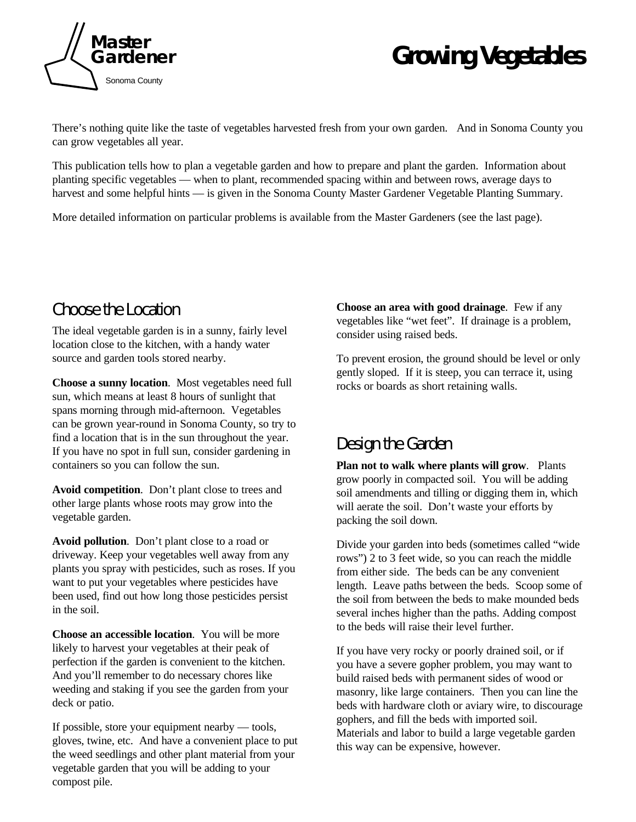

# *Growing Vegetables*

There's nothing quite like the taste of vegetables harvested fresh from your own garden. And in Sonoma County you can grow vegetables all year.

This publication tells how to plan a vegetable garden and how to prepare and plant the garden. Information about planting specific vegetables — when to plant, recommended spacing within and between rows, average days to harvest and some helpful hints — is given in the Sonoma County Master Gardener Vegetable Planting Summary.

More detailed information on particular problems is available from the Master Gardeners (see the last page).

# Choose the Location

The ideal vegetable garden is in a sunny, fairly level location close to the kitchen, with a handy water source and garden tools stored nearby.

**Choose a sunny location**. Most vegetables need full sun, which means at least 8 hours of sunlight that spans morning through mid-afternoon. Vegetables can be grown year-round in Sonoma County, so try to find a location that is in the sun throughout the year. If you have no spot in full sun, consider gardening in containers so you can follow the sun.

**Avoid competition**. Don't plant close to trees and other large plants whose roots may grow into the vegetable garden.

**Avoid pollution**. Don't plant close to a road or driveway. Keep your vegetables well away from any plants you spray with pesticides, such as roses. If you want to put your vegetables where pesticides have been used, find out how long those pesticides persist in the soil.

**Choose an accessible location**. You will be more likely to harvest your vegetables at their peak of perfection if the garden is convenient to the kitchen. And you'll remember to do necessary chores like weeding and staking if you see the garden from your deck or patio.

If possible, store your equipment nearby — tools, gloves, twine, etc. And have a convenient place to put the weed seedlings and other plant material from your vegetable garden that you will be adding to your compost pile.

**Choose an area with good drainage**. Few if any vegetables like "wet feet". If drainage is a problem, consider using raised beds.

To prevent erosion, the ground should be level or only gently sloped. If it is steep, you can terrace it, using rocks or boards as short retaining walls.

# Design the Garden

**Plan not to walk where plants will grow**. Plants grow poorly in compacted soil. You will be adding soil amendments and tilling or digging them in, which will aerate the soil. Don't waste your efforts by packing the soil down.

Divide your garden into beds (sometimes called "wide rows") 2 to 3 feet wide, so you can reach the middle from either side. The beds can be any convenient length. Leave paths between the beds. Scoop some of the soil from between the beds to make mounded beds several inches higher than the paths. Adding compost to the beds will raise their level further.

If you have very rocky or poorly drained soil, or if you have a severe gopher problem, you may want to build raised beds with permanent sides of wood or masonry, like large containers. Then you can line the beds with hardware cloth or aviary wire, to discourage gophers, and fill the beds with imported soil. Materials and labor to build a large vegetable garden this way can be expensive, however.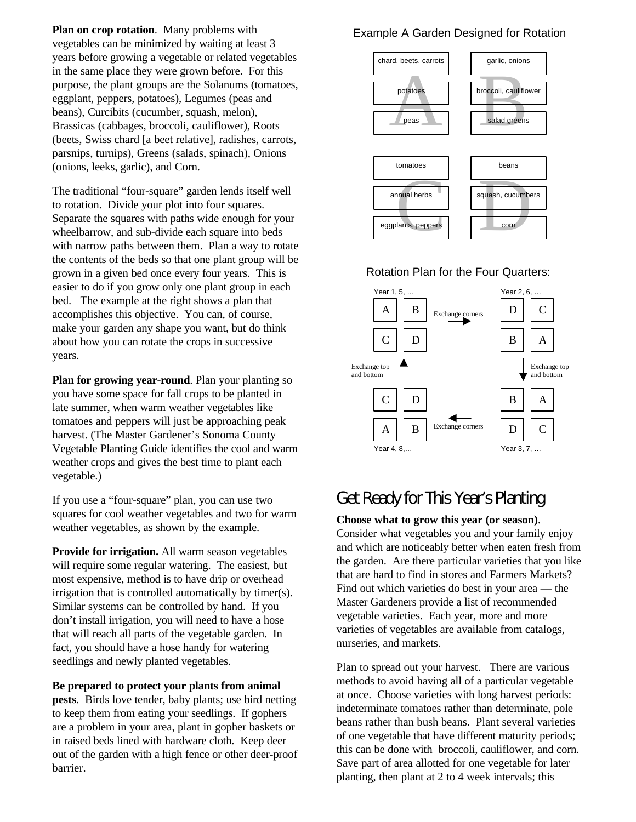**Plan on crop rotation**. Many problems with vegetables can be minimized by waiting at least 3 years before growing a vegetable or related vegetables in the same place they were grown before. For this purpose, the plant groups are the Solanums (tomatoes, eggplant, peppers, potatoes), Legumes (peas and beans), Curcibits (cucumber, squash, melon), Brassicas (cabbages, broccoli, cauliflower), Roots (beets, Swiss chard [a beet relative], radishes, carrots, parsnips, turnips), Greens (salads, spinach), Onions (onions, leeks, garlic), and Corn.

The traditional "four-square" garden lends itself well to rotation. Divide your plot into four squares. Separate the squares with paths wide enough for your wheelbarrow, and sub-divide each square into beds with narrow paths between them. Plan a way to rotate the contents of the beds so that one plant group will be grown in a given bed once every four years. This is easier to do if you grow only one plant group in each bed. The example at the right shows a plan that accomplishes this objective. You can, of course, make your garden any shape you want, but do think about how you can rotate the crops in successive years.

**Plan for growing year-round**. Plan your planting so you have some space for fall crops to be planted in late summer, when warm weather vegetables like tomatoes and peppers will just be approaching peak harvest. (The Master Gardener's Sonoma County Vegetable Planting Guide identifies the cool and warm weather crops and gives the best time to plant each vegetable.)

If you use a "four-square" plan, you can use two squares for cool weather vegetables and two for warm weather vegetables, as shown by the example.

**Provide for irrigation.** All warm season vegetables will require some regular watering. The easiest, but most expensive, method is to have drip or overhead irrigation that is controlled automatically by timer(s). Similar systems can be controlled by hand. If you don't install irrigation, you will need to have a hose that will reach all parts of the vegetable garden. In fact, you should have a hose handy for watering seedlings and newly planted vegetables.

#### **Be prepared to protect your plants from animal**

**pests**. Birds love tender, baby plants; use bird netting to keep them from eating your seedlings. If gophers are a problem in your area, plant in gopher baskets or in raised beds lined with hardware cloth. Keep deer out of the garden with a high fence or other deer-proof barrier.

#### Example A Garden Designed for Rotation



#### Rotation Plan for the Four Quarters:



# Get Ready for This Year's Planting

#### **Choose what to grow this year (or season)**.

Consider what vegetables you and your family enjoy and which are noticeably better when eaten fresh from the garden. Are there particular varieties that you like that are hard to find in stores and Farmers Markets? Find out which varieties do best in your area — the Master Gardeners provide a list of recommended vegetable varieties. Each year, more and more varieties of vegetables are available from catalogs, nurseries, and markets.

Plan to spread out your harvest. There are various methods to avoid having all of a particular vegetable at once. Choose varieties with long harvest periods: indeterminate tomatoes rather than determinate, pole beans rather than bush beans. Plant several varieties of one vegetable that have different maturity periods; this can be done with broccoli, cauliflower, and corn. Save part of area allotted for one vegetable for later planting, then plant at 2 to 4 week intervals; this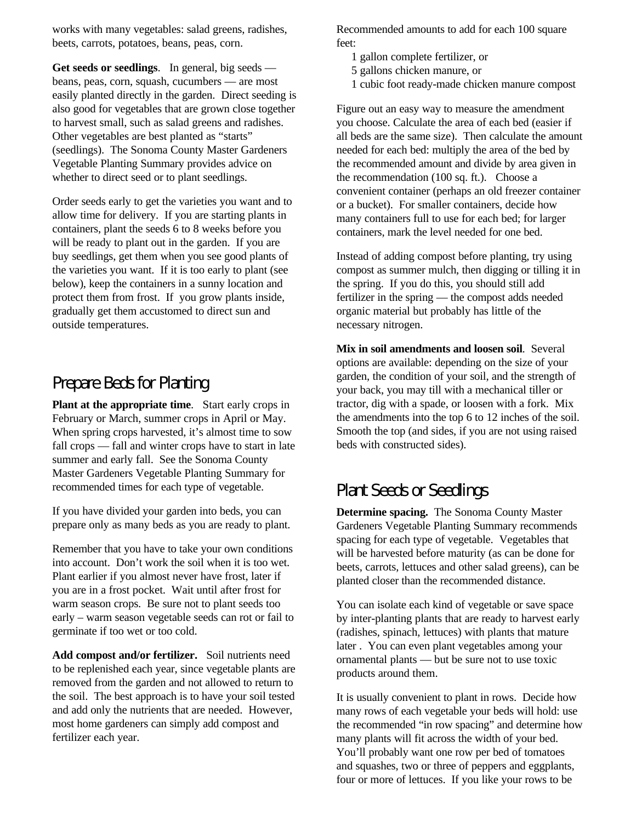works with many vegetables: salad greens, radishes, beets, carrots, potatoes, beans, peas, corn.

**Get seeds or seedlings**. In general, big seeds beans, peas, corn, squash, cucumbers — are most easily planted directly in the garden. Direct seeding is also good for vegetables that are grown close together to harvest small, such as salad greens and radishes. Other vegetables are best planted as "starts" (seedlings). The Sonoma County Master Gardeners Vegetable Planting Summary provides advice on whether to direct seed or to plant seedlings.

Order seeds early to get the varieties you want and to allow time for delivery. If you are starting plants in containers, plant the seeds 6 to 8 weeks before you will be ready to plant out in the garden. If you are buy seedlings, get them when you see good plants of the varieties you want. If it is too early to plant (see below), keep the containers in a sunny location and protect them from frost. If you grow plants inside, gradually get them accustomed to direct sun and outside temperatures.

# Prepare Beds for Planting

**Plant at the appropriate time**. Start early crops in February or March, summer crops in April or May. When spring crops harvested, it's almost time to sow fall crops — fall and winter crops have to start in late summer and early fall. See the Sonoma County Master Gardeners Vegetable Planting Summary for recommended times for each type of vegetable.

If you have divided your garden into beds, you can prepare only as many beds as you are ready to plant.

Remember that you have to take your own conditions into account. Don't work the soil when it is too wet. Plant earlier if you almost never have frost, later if you are in a frost pocket. Wait until after frost for warm season crops. Be sure not to plant seeds too early – warm season vegetable seeds can rot or fail to germinate if too wet or too cold.

**Add compost and/or fertilizer.** Soil nutrients need to be replenished each year, since vegetable plants are removed from the garden and not allowed to return to the soil. The best approach is to have your soil tested and add only the nutrients that are needed. However, most home gardeners can simply add compost and fertilizer each year.

Recommended amounts to add for each 100 square feet:

- 1 gallon complete fertilizer, or
- 5 gallons chicken manure, or
- 1 cubic foot ready-made chicken manure compost

Figure out an easy way to measure the amendment you choose. Calculate the area of each bed (easier if all beds are the same size). Then calculate the amount needed for each bed: multiply the area of the bed by the recommended amount and divide by area given in the recommendation (100 sq. ft.). Choose a convenient container (perhaps an old freezer container or a bucket). For smaller containers, decide how many containers full to use for each bed; for larger containers, mark the level needed for one bed.

Instead of adding compost before planting, try using compost as summer mulch, then digging or tilling it in the spring. If you do this, you should still add fertilizer in the spring — the compost adds needed organic material but probably has little of the necessary nitrogen.

**Mix in soil amendments and loosen soil**. Several options are available: depending on the size of your garden, the condition of your soil, and the strength of your back, you may till with a mechanical tiller or tractor, dig with a spade, or loosen with a fork. Mix the amendments into the top 6 to 12 inches of the soil. Smooth the top (and sides, if you are not using raised beds with constructed sides).

# Plant Seeds or Seedlings

**Determine spacing.** The Sonoma County Master Gardeners Vegetable Planting Summary recommends spacing for each type of vegetable. Vegetables that will be harvested before maturity (as can be done for beets, carrots, lettuces and other salad greens), can be planted closer than the recommended distance.

You can isolate each kind of vegetable or save space by inter-planting plants that are ready to harvest early (radishes, spinach, lettuces) with plants that mature later . You can even plant vegetables among your ornamental plants — but be sure not to use toxic products around them.

It is usually convenient to plant in rows. Decide how many rows of each vegetable your beds will hold: use the recommended "in row spacing" and determine how many plants will fit across the width of your bed. You'll probably want one row per bed of tomatoes and squashes, two or three of peppers and eggplants, four or more of lettuces. If you like your rows to be